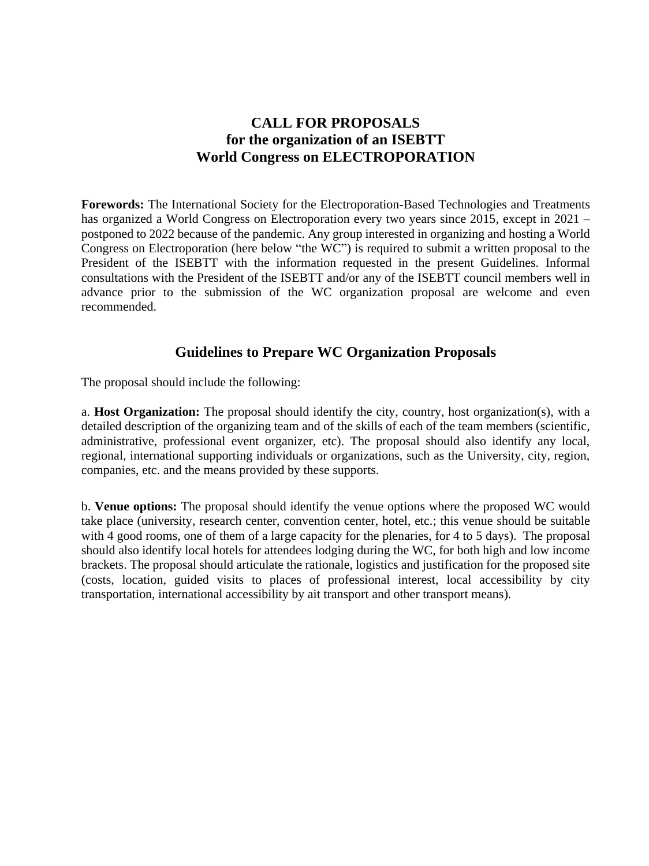## **CALL FOR PROPOSALS for the organization of an ISEBTT World Congress on ELECTROPORATION**

**Forewords:** The International Society for the Electroporation-Based Technologies and Treatments has organized a World Congress on Electroporation every two years since 2015, except in 2021 – postponed to 2022 because of the pandemic. Any group interested in organizing and hosting a World Congress on Electroporation (here below "the WC") is required to submit a written proposal to the President of the ISEBTT with the information requested in the present Guidelines. Informal consultations with the President of the ISEBTT and/or any of the ISEBTT council members well in advance prior to the submission of the WC organization proposal are welcome and even recommended.

## **Guidelines to Prepare WC Organization Proposals**

The proposal should include the following:

a. **Host Organization:** The proposal should identify the city, country, host organization(s), with a detailed description of the organizing team and of the skills of each of the team members (scientific, administrative, professional event organizer, etc). The proposal should also identify any local, regional, international supporting individuals or organizations, such as the University, city, region, companies, etc. and the means provided by these supports.

b. **Venue options:** The proposal should identify the venue options where the proposed WC would take place (university, research center, convention center, hotel, etc.; this venue should be suitable with 4 good rooms, one of them of a large capacity for the plenaries, for 4 to 5 days). The proposal should also identify local hotels for attendees lodging during the WC, for both high and low income brackets. The proposal should articulate the rationale, logistics and justification for the proposed site (costs, location, guided visits to places of professional interest, local accessibility by city transportation, international accessibility by ait transport and other transport means).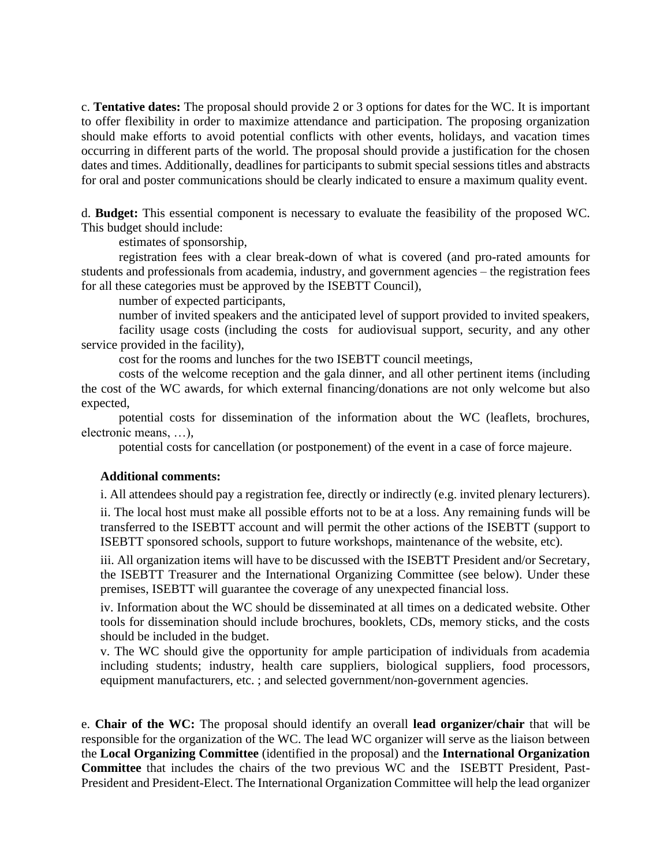c. **Tentative dates:** The proposal should provide 2 or 3 options for dates for the WC. It is important to offer flexibility in order to maximize attendance and participation. The proposing organization should make efforts to avoid potential conflicts with other events, holidays, and vacation times occurring in different parts of the world. The proposal should provide a justification for the chosen dates and times. Additionally, deadlines for participants to submit special sessions titles and abstracts for oral and poster communications should be clearly indicated to ensure a maximum quality event.

d. **Budget:** This essential component is necessary to evaluate the feasibility of the proposed WC. This budget should include:

estimates of sponsorship,

registration fees with a clear break-down of what is covered (and pro-rated amounts for students and professionals from academia, industry, and government agencies – the registration fees for all these categories must be approved by the ISEBTT Council),

number of expected participants,

number of invited speakers and the anticipated level of support provided to invited speakers,

facility usage costs (including the costs for audiovisual support, security, and any other service provided in the facility),

cost for the rooms and lunches for the two ISEBTT council meetings,

costs of the welcome reception and the gala dinner, and all other pertinent items (including the cost of the WC awards, for which external financing/donations are not only welcome but also expected,

potential costs for dissemination of the information about the WC (leaflets, brochures, electronic means, …),

potential costs for cancellation (or postponement) of the event in a case of force majeure.

## **Additional comments:**

i. All attendees should pay a registration fee, directly or indirectly (e.g. invited plenary lecturers).

ii. The local host must make all possible efforts not to be at a loss. Any remaining funds will be transferred to the ISEBTT account and will permit the other actions of the ISEBTT (support to ISEBTT sponsored schools, support to future workshops, maintenance of the website, etc).

iii. All organization items will have to be discussed with the ISEBTT President and/or Secretary, the ISEBTT Treasurer and the International Organizing Committee (see below). Under these premises, ISEBTT will guarantee the coverage of any unexpected financial loss.

iv. Information about the WC should be disseminated at all times on a dedicated website. Other tools for dissemination should include brochures, booklets, CDs, memory sticks, and the costs should be included in the budget.

v. The WC should give the opportunity for ample participation of individuals from academia including students; industry, health care suppliers, biological suppliers, food processors, equipment manufacturers, etc. ; and selected government/non-government agencies.

e. **Chair of the WC:** The proposal should identify an overall **lead organizer/chair** that will be responsible for the organization of the WC. The lead WC organizer will serve as the liaison between the **Local Organizing Committee** (identified in the proposal) and the **International Organization Committee** that includes the chairs of the two previous WC and the ISEBTT President, Past-President and President-Elect. The International Organization Committee will help the lead organizer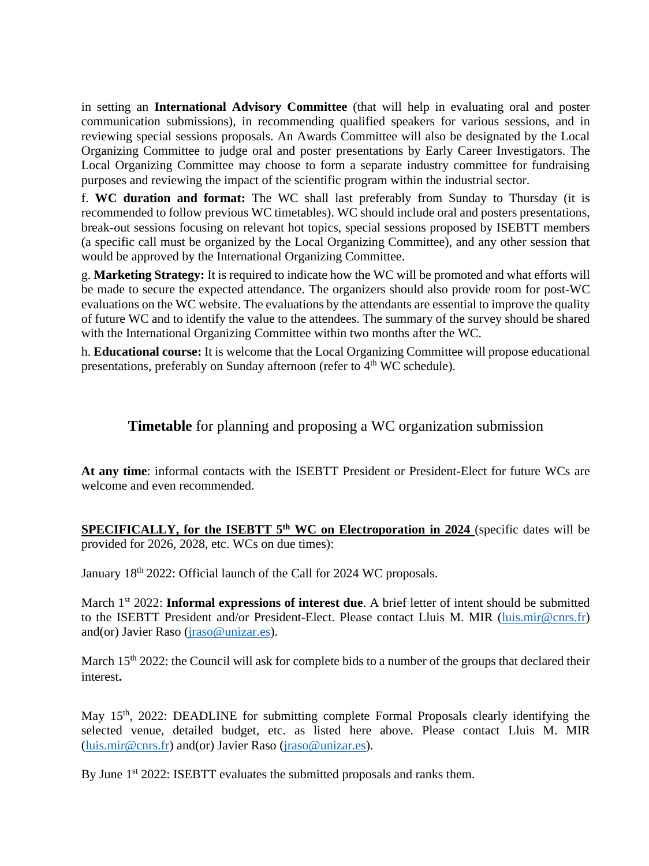in setting an **International Advisory Committee** (that will help in evaluating oral and poster communication submissions), in recommending qualified speakers for various sessions, and in reviewing special sessions proposals. An Awards Committee will also be designated by the Local Organizing Committee to judge oral and poster presentations by Early Career Investigators. The Local Organizing Committee may choose to form a separate industry committee for fundraising purposes and reviewing the impact of the scientific program within the industrial sector.

f. **WC duration and format:** The WC shall last preferably from Sunday to Thursday (it is recommended to follow previous WC timetables). WC should include oral and posters presentations, break-out sessions focusing on relevant hot topics, special sessions proposed by ISEBTT members (a specific call must be organized by the Local Organizing Committee), and any other session that would be approved by the International Organizing Committee.

g. **Marketing Strategy:** It is required to indicate how the WC will be promoted and what efforts will be made to secure the expected attendance. The organizers should also provide room for post-WC evaluations on the WC website. The evaluations by the attendants are essential to improve the quality of future WC and to identify the value to the attendees. The summary of the survey should be shared with the International Organizing Committee within two months after the WC.

h. **Educational course:** It is welcome that the Local Organizing Committee will propose educational presentations, preferably on Sunday afternoon (refer to  $4<sup>th</sup>$  WC schedule).

**Timetable** for planning and proposing a WC organization submission

**At any time**: informal contacts with the ISEBTT President or President-Elect for future WCs are welcome and even recommended.

**SPECIFICALLY, for the ISEBTT 5<sup>th</sup> WC on Electroporation in 2024** (specific dates will be provided for 2026, 2028, etc. WCs on due times):

January 18<sup>th</sup> 2022: Official launch of the Call for 2024 WC proposals.

March 1<sup>st</sup> 2022: **Informal expressions of interest due**. A brief letter of intent should be submitted to the ISEBTT President and/or President-Elect. Please contact Lluis M. MIR [\(luis.mir@cnrs.fr\)](mailto:luis.mir@cnrs.fr) and(or) Javier Raso [\(jraso@unizar.es\)](mailto:jraso@unizar.es).

March 15<sup>th</sup> 2022: the Council will ask for complete bids to a number of the groups that declared their interest**.** 

May 15<sup>th</sup>, 2022: DEADLINE for submitting complete Formal Proposals clearly identifying the selected venue, detailed budget, etc. as listed here above. Please contact Lluis M. MIR [\(luis.mir@cnrs.fr\)](mailto:luis.mir@cnrs.fr) and(or) Javier Raso [\(jraso@unizar.es\)](mailto:jraso@unizar.es).

By June 1<sup>st</sup> 2022: ISEBTT evaluates the submitted proposals and ranks them.